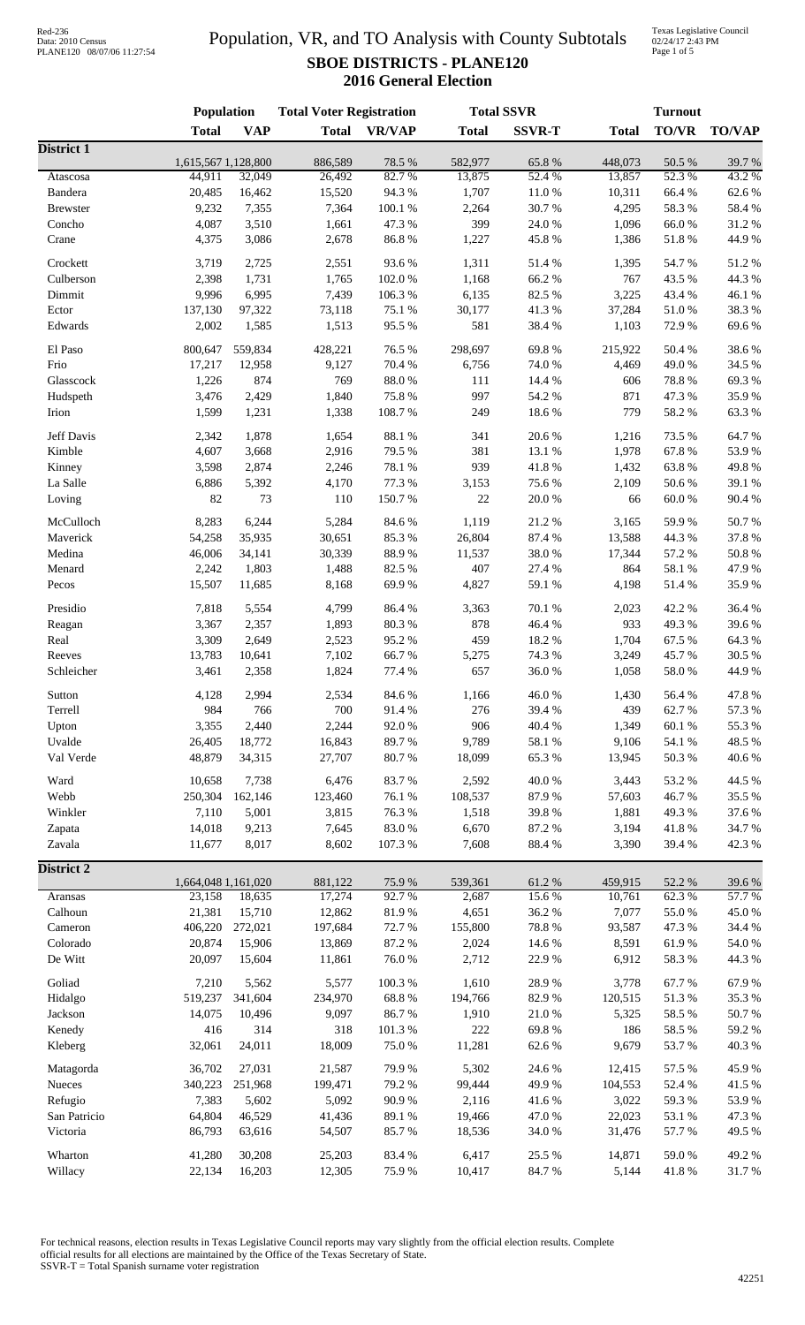### Population, VR, and TO Analysis with County Subtotals **SBOE DISTRICTS - PLANE120 2016 General Election**

Texas Legislative Council 02/24/17 2:43 PM Page 1 of 5

|                   | Population                    |            | <b>Total Voter Registration</b> |                 | <b>Total SSVR</b> |                 | <b>Turnout</b>    |                 |                 |
|-------------------|-------------------------------|------------|---------------------------------|-----------------|-------------------|-----------------|-------------------|-----------------|-----------------|
|                   | <b>Total</b>                  | <b>VAP</b> | <b>Total</b>                    | <b>VR/VAP</b>   | <b>Total</b>      | <b>SSVR-T</b>   | <b>Total</b>      | TO/VR           | <b>TO/VAP</b>   |
| <b>District 1</b> |                               |            |                                 |                 |                   |                 |                   |                 |                 |
| Atascosa          | 1,615,567 1,128,800<br>44,911 | 32,049     | 886,589<br>26,492               | 78.5 %<br>82.7% | 582,977<br>13,875 | 65.8%<br>52.4 % | 448,073<br>13,857 | 50.5 %<br>52.3% | 39.7%<br>43.2 % |
| Bandera           | 20,485                        | 16,462     | 15,520                          | 94.3%           | 1,707             | 11.0%           | 10,311            | 66.4%           | 62.6%           |
| <b>Brewster</b>   | 9,232                         | 7,355      | 7,364                           | 100.1 %         | 2,264             | 30.7%           | 4,295             | 58.3%           | 58.4%           |
| Concho            | 4,087                         | 3,510      | 1,661                           | 47.3 %          | 399               | 24.0%           | 1,096             | 66.0%           | 31.2%           |
| Crane             | 4,375                         | 3,086      | 2,678                           | 86.8%           | 1,227             | 45.8%           | 1,386             | $51.8\ \%$      | 44.9%           |
|                   |                               |            |                                 |                 |                   |                 |                   |                 |                 |
| Crockett          | 3,719                         | 2,725      | 2,551                           | 93.6%           | 1,311             | 51.4%           | 1,395             | 54.7%           | 51.2%           |
| Culberson         | 2,398                         | 1,731      | 1,765                           | 102.0%          | 1,168             | 66.2%           | 767               | 43.5 %          | 44.3 %          |
| Dimmit            | 9,996                         | 6,995      | 7,439                           | 106.3%          | 6,135             | 82.5 %          | 3,225             | 43.4 %          | 46.1%           |
| Ector             | 137,130                       | 97,322     | 73,118                          | 75.1 %          | 30,177            | 41.3%           | 37,284            | $51.0\,\%$      | 38.3%           |
| Edwards           | 2,002                         | 1,585      | 1,513                           | 95.5%           | 581               | 38.4%           | 1,103             | 72.9%           | 69.6%           |
| El Paso           | 800,647                       | 559,834    | 428,221                         | 76.5 %          | 298,697           | 69.8%           | 215,922           | 50.4%           | 38.6%           |
| Frio              | 17,217                        | 12,958     | 9,127                           | 70.4 %          | 6,756             | 74.0 %          | 4,469             | 49.0%           | 34.5 %          |
| Glasscock         | 1,226                         | 874        | 769                             | 88.0%           | 111               | 14.4 %          | 606               | 78.8%           | 69.3%           |
| Hudspeth          | 3,476                         | 2,429      | 1,840                           | 75.8%           | 997               | 54.2 %          | 871               | 47.3%           | 35.9%           |
| Irion             | 1,599                         | 1,231      | 1,338                           | 108.7%          | 249               | 18.6%           | 779               | 58.2 %          | 63.3%           |
|                   |                               |            |                                 |                 |                   |                 |                   |                 | 64.7%           |
| Jeff Davis        | 2,342                         | 1,878      | 1,654                           | 88.1 %          | 341               | 20.6%           | 1,216             | 73.5 %          |                 |
| Kimble            | 4,607                         | 3,668      | 2,916                           | 79.5 %          | 381               | 13.1 %          | 1,978             | 67.8%           | 53.9%           |
| Kinney            | 3,598                         | 2,874      | 2,246                           | 78.1 %          | 939               | 41.8%           | 1,432             | 63.8%           | 49.8%           |
| La Salle          | 6,886                         | 5,392      | 4,170                           | 77.3 %          | 3,153             | 75.6%           | 2,109             | 50.6%           | 39.1 %          |
| Loving            | 82                            | 73         | 110                             | 150.7%          | $22\,$            | 20.0%           | 66                | $60.0\ \%$      | 90.4%           |
| McCulloch         | 8,283                         | 6,244      | 5,284                           | 84.6%           | 1,119             | 21.2%           | 3,165             | 59.9%           | 50.7%           |
| Maverick          | 54,258                        | 35,935     | 30,651                          | 85.3%           | 26,804            | 87.4 %          | 13,588            | 44.3 %          | 37.8%           |
| Medina            | 46,006                        | 34,141     | 30,339                          | 88.9%           | 11,537            | 38.0%           | 17,344            | 57.2 %          | 50.8 %          |
| Menard            | 2,242                         | 1,803      | 1,488                           | 82.5 %          | 407               | 27.4 %          | 864               | 58.1 %          | 47.9%           |
| Pecos             | 15,507                        | 11,685     | 8,168                           | 69.9%           | 4,827             | 59.1 %          | 4,198             | 51.4 %          | 35.9%           |
|                   | 7,818                         | 5,554      | 4,799                           | 86.4%           | 3,363             | 70.1 %          | 2,023             | 42.2 %          | 36.4%           |
| Presidio          | 3,367                         | 2,357      | 1,893                           | 80.3%           | 878               | 46.4%           | 933               | 49.3%           | 39.6%           |
| Reagan            | 3,309                         | 2,649      | 2,523                           | 95.2%           | 459               | 18.2%           | 1,704             | 67.5 %          | 64.3%           |
| Real              |                               |            |                                 |                 |                   |                 |                   |                 |                 |
| Reeves            | 13,783                        | 10,641     | 7,102                           | 66.7%           | 5,275             | 74.3 %          | 3,249             | 45.7%           | 30.5 %          |
| Schleicher        | 3,461                         | 2,358      | 1,824                           | 77.4 %          | 657               | 36.0%           | 1,058             | 58.0%           | 44.9%           |
| Sutton            | 4,128                         | 2,994      | 2,534                           | 84.6%           | 1,166             | 46.0%           | 1,430             | 56.4 %          | 47.8 %          |
| Terrell           | 984                           | 766        | 700                             | 91.4%           | 276               | 39.4%           | 439               | 62.7%           | 57.3 %          |
| Upton             | 3,355                         | 2,440      | 2,244                           | 92.0%           | 906               | 40.4%           | 1,349             | 60.1 %          | 55.3 %          |
| Uvalde            | 26,405                        | 18,772     | 16,843                          | 89.7%           | 9,789             | 58.1 %          | 9,106             | 54.1 %          | 48.5 %          |
| Val Verde         | 48,879                        | 34,315     | 27,707                          | 80.7%           | 18,099            | 65.3%           | 13,945            | 50.3%           | 40.6%           |
| Ward              | 10,658                        | 7,738      | 6,476                           | 83.7%           | 2,592             | 40.0%           | 3,443             | 53.2 %          | 44.5 %          |
| Webb              | 250,304                       | 162,146    | 123,460                         | 76.1%           | 108,537           | 87.9%           | 57,603            | 46.7%           | 35.5 %          |
| Winkler           | 7,110                         | 5,001      | 3,815                           | 76.3%           | 1,518             | 39.8%           | 1,881             | 49.3%           | 37.6 %          |
| Zapata            | 14,018                        | 9,213      | 7,645                           | 83.0%           | 6,670             | 87.2%           | 3,194             | 41.8%           | 34.7%           |
| Zavala            | 11,677                        | 8,017      | 8,602                           | 107.3 %         | 7,608             | 88.4 %          | 3,390             | 39.4 %          | 42.3 %          |
|                   |                               |            |                                 |                 |                   |                 |                   |                 |                 |
| District 2        | 1,664,048 1,161,020           |            | 881,122                         | 75.9%           | 539,361           | 61.2%           | 459,915           | 52.2 %          | 39.6%           |
| Aransas           | 23,158                        | 18,635     | 17,274                          | 92.7%           | 2,687             | 15.6%           | 10,761            | 62.3%           | 57.7%           |
| Calhoun           | 21,381                        | 15,710     | 12,862                          | 81.9%           | 4,651             | 36.2%           | 7,077             | 55.0%           | 45.0%           |
| Cameron           | 406,220                       | 272,021    | 197,684                         | 72.7%           | 155,800           | 78.8 %          | 93,587            | 47.3%           | 34.4 %          |
| Colorado          | 20,874                        | 15,906     | 13,869                          | 87.2%           | 2,024             | 14.6 %          | 8,591             | 61.9%           | $54.0\;\%$      |
| De Witt           | 20,097                        | 15,604     | 11,861                          | 76.0%           | 2,712             | 22.9%           | 6,912             | 58.3 %          | 44.3 %          |
|                   |                               |            |                                 |                 |                   |                 |                   |                 |                 |
| Goliad            | 7,210                         | 5,562      | 5,577                           | 100.3%          | 1,610             | 28.9%           | 3,778             | 67.7%           | 67.9%           |
| Hidalgo           | 519,237                       | 341,604    | 234,970                         | 68.8%           | 194,766           | 82.9%           | 120,515           | 51.3%           | 35.3 %          |
| Jackson           | 14,075                        | 10,496     | 9,097                           | 86.7%           | 1,910             | $21.0\ \%$      | 5,325             | 58.5 %          | 50.7 %          |
| Kenedy            | 416                           | 314        | 318                             | $101.3~\%$      | 222               | 69.8%           | 186               | 58.5 %          | 59.2%           |
| Kleberg           | 32,061                        | 24,011     | 18,009                          | 75.0%           | 11,281            | 62.6%           | 9,679             | 53.7%           | 40.3%           |
| Matagorda         | 36,702                        | 27,031     | 21,587                          | 79.9%           | 5,302             | 24.6 %          | 12,415            | 57.5 %          | 45.9%           |
| Nueces            | 340,223                       | 251,968    | 199,471                         | 79.2 %          | 99,444            | 49.9%           | 104,553           | 52.4 %          | 41.5 %          |
| Refugio           | 7,383                         | 5,602      | 5,092                           | 90.9%           | 2,116             | 41.6%           | 3,022             | 59.3%           | 53.9%           |
| San Patricio      | 64,804                        | 46,529     | 41,436                          | 89.1 %          | 19,466            | 47.0%           | 22,023            | 53.1 %          | 47.3%           |
| Victoria          | 86,793                        | 63,616     | 54,507                          | 85.7%           | 18,536            | 34.0 %          | 31,476            | 57.7%           | 49.5 %          |
| Wharton           | 41,280                        | 30,208     | 25,203                          | 83.4%           | 6,417             | 25.5 %          | 14,871            | 59.0%           | 49.2 %          |
| Willacy           | 22,134                        | 16,203     | 12,305                          | 75.9%           | 10,417            | 84.7 %          | 5,144             | 41.8 %          | $31.7\ \%$      |
|                   |                               |            |                                 |                 |                   |                 |                   |                 |                 |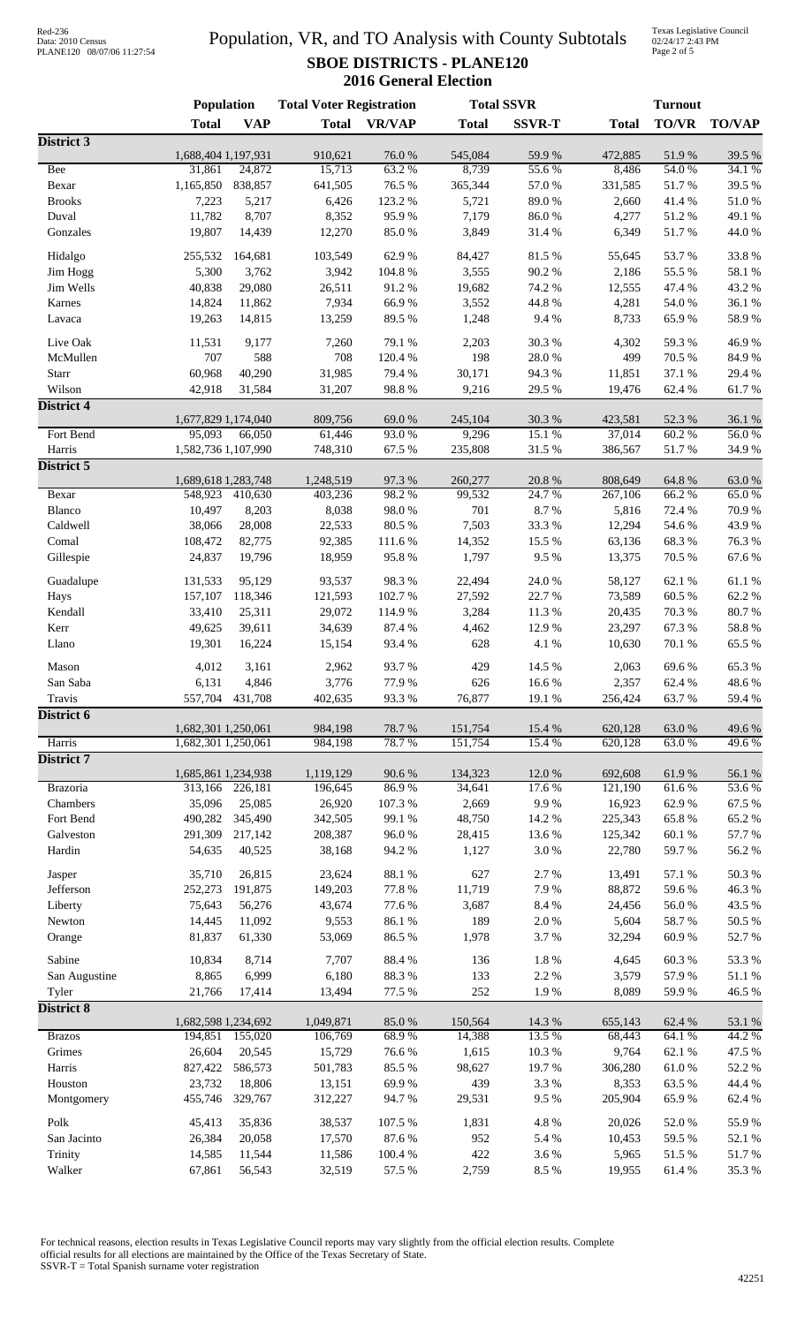# Data: 2010 Census PLANE120 08/07/06 11:27:54

### Population, VR, and TO Analysis with County Subtotals **SBOE DISTRICTS - PLANE120 2016 General Election**

Texas Legislative Council 02/24/17 2:43 PM Page 2 of 5

|                            | <b>Population</b>              |                   | <b>Total Voter Registration</b> |                   |                   | <b>Total SSVR</b> |                    | <b>Turnout</b>   |                            |  |
|----------------------------|--------------------------------|-------------------|---------------------------------|-------------------|-------------------|-------------------|--------------------|------------------|----------------------------|--|
|                            | <b>Total</b>                   | <b>VAP</b>        | <b>Total</b>                    | <b>VR/VAP</b>     | <b>Total</b>      | <b>SSVR-T</b>     | <b>Total</b>       | <b>TO/VR</b>     | <b>TO/VAP</b>              |  |
| District 3                 |                                |                   |                                 |                   |                   |                   |                    |                  |                            |  |
| Bee                        | 1,688,404 1,197,931<br>31,861  | 24,872            | 910,621<br>15,713               | 76.0%<br>63.2 %   | 545,084<br>8,739  | 59.9%<br>55.6%    | 472,885<br>8,486   | 51.9%<br>54.0%   | 39.5 %<br>34.1 %           |  |
| Bexar                      | 1,165,850                      | 838,857           | 641,505                         | 76.5 %            | 365,344           | 57.0%             | 331,585            | 51.7%            | 39.5 %                     |  |
| <b>Brooks</b>              | 7,223                          | 5,217             | 6,426                           | 123.2 %           | 5,721             | 89.0%             | 2,660              | 41.4%            | 51.0%                      |  |
| Duval                      | 11,782                         | 8,707             | 8,352                           | 95.9%             | 7,179             | 86.0%             | 4,277              | 51.2%            | 49.1 %                     |  |
| Gonzales                   | 19,807                         | 14,439            | 12,270                          | 85.0%             | 3,849             | 31.4 %            | 6,349              | 51.7%            | 44.0%                      |  |
| Hidalgo                    | 255,532                        | 164,681           | 103,549                         | 62.9%             | 84,427            | 81.5%             | 55,645             | 53.7%            | 33.8%                      |  |
| Jim Hogg                   | 5,300                          | 3,762             | 3,942                           | 104.8 %           | 3,555             | 90.2%             | 2,186              | 55.5 %           | 58.1 %                     |  |
| Jim Wells                  | 40,838                         | 29,080            | 26,511                          | 91.2%             | 19,682            | 74.2 %            | 12,555             | 47.4 %           | 43.2 %                     |  |
| Karnes                     | 14,824                         | 11,862            | 7,934                           | 66.9%             | 3,552             | 44.8%             | 4,281              | 54.0 %           | 36.1 %                     |  |
| Lavaca                     | 19,263                         | 14,815            | 13,259                          | 89.5%             | 1,248             | 9.4%              | 8,733              | 65.9%            | 58.9%                      |  |
|                            |                                |                   |                                 |                   |                   |                   |                    |                  |                            |  |
| Live Oak                   | 11,531<br>707                  | 9,177<br>588      | 7,260<br>708                    | 79.1 %<br>120.4 % | 2,203<br>198      | 30.3%<br>28.0%    | 4,302<br>499       | 59.3%<br>70.5 %  | 46.9%<br>84.9%             |  |
| McMullen<br>Starr          | 60,968                         | 40,290            | 31,985                          | 79.4 %            | 30,171            | 94.3%             | 11,851             | 37.1 %           | 29.4 %                     |  |
| Wilson                     | 42,918                         | 31,584            | 31,207                          | 98.8%             | 9,216             | 29.5 %            | 19,476             | 62.4 %           | 61.7%                      |  |
| <b>District 4</b>          |                                |                   |                                 |                   |                   |                   |                    |                  |                            |  |
|                            | 1,677,829 1,174,040            |                   | 809,756                         | 69.0%             | 245,104           | 30.3%             | 423,581            | 52.3 %           | 36.1%                      |  |
| Fort Bend                  | 95,093                         | 66,050            | 61,446                          | 93.0%             | 9,296             | 15.1 %            | 37,014             | 60.2%            | 56.0%                      |  |
| Harris                     | 1,582,736 1,107,990            |                   | 748,310                         | 67.5 %            | 235,808           | 31.5 %            | 386,567            | 51.7%            | 34.9%                      |  |
| District 5                 |                                |                   |                                 |                   |                   |                   |                    |                  |                            |  |
|                            | 1,689,618 1,283,748            |                   | 1,248,519                       | 97.3 %            | 260,277           | 20.8 %            | 808,649            | 64.8 %           | 63.0%                      |  |
| Bexar<br>Blanco            | 548,923                        | 410,630           | 403,236                         | 98.2%<br>98.0%    | 99,532<br>701     | 24.7 %<br>8.7%    | 267,106            | 66.2%            | 65.0%<br>70.9%             |  |
| Caldwell                   | 10,497<br>38,066               | 8,203<br>28,008   | 8,038<br>22,533                 | 80.5 %            | 7,503             | 33.3%             | 5,816<br>12,294    | 72.4 %<br>54.6 % | 43.9%                      |  |
| Comal                      | 108,472                        | 82,775            | 92,385                          | 111.6 %           | 14,352            | 15.5 %            | 63,136             | 68.3%            | 76.3%                      |  |
| Gillespie                  | 24,837                         | 19,796            | 18,959                          | 95.8%             | 1,797             | 9.5%              | 13,375             | 70.5 %           | 67.6 %                     |  |
|                            |                                |                   |                                 |                   |                   |                   |                    |                  |                            |  |
| Guadalupe                  | 131,533                        | 95,129            | 93,537                          | 98.3%             | 22,494            | 24.0%             | 58,127             | 62.1%            | 61.1%                      |  |
| Hays                       | 157,107                        | 118,346           | 121,593                         | 102.7%            | 27,592            | 22.7%             | 73,589             | 60.5%            | 62.2%                      |  |
| Kendall                    | 33,410                         | 25,311<br>39,611  | 29,072                          | 114.9%            | 3,284             | 11.3 %            | 20,435             | 70.3 %<br>67.3%  | 80.7%<br>58.8%             |  |
| Kerr<br>Llano              | 49,625<br>19,301               | 16,224            | 34,639<br>15,154                | 87.4 %<br>93.4 %  | 4,462<br>628      | 12.9%<br>4.1 %    | 23,297<br>10,630   | 70.1 %           | 65.5 %                     |  |
| Mason                      | 4,012                          | 3,161             | 2,962                           | 93.7%             | 429               | 14.5 %            | 2,063              | 69.6%            | 65.3%                      |  |
| San Saba                   | 6,131                          | 4,846             | 3,776                           | 77.9 %            | 626               | 16.6 %            | 2,357              | 62.4 %           | 48.6%                      |  |
| Travis                     | 557,704                        | 431,708           | 402,635                         | 93.3%             | 76,877            | 19.1 %            | 256,424            | 63.7%            | 59.4%                      |  |
| District 6                 |                                |                   |                                 |                   |                   |                   |                    |                  |                            |  |
|                            | 1,682,301 1,250,061            |                   | 984,198                         | 78.7 %            | 151,754           | 15.4 %            | 620,128            | 63.0%            | 49.6%                      |  |
| Harris                     | 1,682,301 1,250,061            |                   | 984,198                         | 78.7%             | 151,754           | 15.4 %            | 620,128            | 63.0%            | 49.6%                      |  |
| District 7                 |                                |                   |                                 |                   |                   |                   |                    |                  |                            |  |
| <b>Brazoria</b>            | 1,685,861 1,234,938<br>313,166 | 226,181           | 1,119,129<br>196,645            | 90.6%<br>86.9%    | 134,323<br>34,641 | 12.0 %<br>17.6 %  | 692,608<br>121,190 | 61.9%<br>61.6%   | 56.1 %<br>53.6%            |  |
| Chambers                   | 35,096                         | 25,085            | 26,920                          | 107.3 %           | 2,669             | 9.9%              | 16,923             | 62.9%            | 67.5 %                     |  |
| Fort Bend                  | 490,282                        | 345,490           | 342,505                         | 99.1 %            | 48,750            | 14.2 %            | 225,343            | 65.8%            | 65.2%                      |  |
| Galveston                  | 291,309                        | 217,142           | 208,387                         | 96.0%             | 28,415            | 13.6 %            | 125,342            | 60.1 %           | 57.7 %                     |  |
| Hardin                     | 54,635                         | 40,525            | 38,168                          | 94.2%             | 1,127             | 3.0%              | 22,780             | 59.7%            | 56.2 %                     |  |
|                            |                                |                   |                                 |                   |                   |                   |                    |                  |                            |  |
| Jasper<br>Jefferson        | 35,710<br>252,273              | 26,815<br>191,875 | 23,624<br>149,203               | 88.1 %<br>77.8 %  | 627<br>11,719     | 2.7%<br>7.9%      | 13,491<br>88,872   | 57.1 %<br>59.6%  | $50.3~\%$<br>46.3%         |  |
| Liberty                    | 75,643                         | 56,276            | 43,674                          | 77.6%             | 3,687             | $8.4\ \%$         | 24,456             | 56.0%            | 43.5 %                     |  |
| Newton                     | 14,445                         | 11,092            | 9,553                           | 86.1%             | 189               | $2.0\ \%$         | 5,604              | 58.7%            | $50.5~\%$                  |  |
| Orange                     | 81,837                         | 61,330            | 53,069                          | 86.5%             | 1,978             | 3.7%              | 32,294             | 60.9%            | 52.7%                      |  |
|                            |                                |                   |                                 |                   |                   |                   |                    |                  |                            |  |
| Sabine                     | 10,834                         | 8,714             | 7,707                           | 88.4%             | 136               | $1.8\ \%$         | 4,645              | 60.3%            | 53.3 %                     |  |
| San Augustine              | 8,865                          | 6,999             | 6,180                           | 88.3%<br>77.5 %   | 133<br>252        | 2.2 %<br>1.9%     | 3,579              | 57.9%            | $51.1\text{ }\%$<br>46.5 % |  |
| Tyler<br><b>District 8</b> | 21,766                         | 17,414            | 13,494                          |                   |                   |                   | 8,089              | 59.9%            |                            |  |
|                            | 1,682,598 1,234,692            |                   | 1,049,871                       | 85.0%             | 150,564           | 14.3 %            | 655,143            | 62.4 %           | 53.1 %                     |  |
| <b>Brazos</b>              | 194,851                        | 155,020           | 106,769                         | 68.9%             | 14,388            | 13.5 %            | 68,443             | 64.1 %           | 44.2 %                     |  |
| Grimes                     | 26,604                         | 20,545            | 15,729                          | 76.6%             | 1,615             | $10.3~\%$         | 9,764              | 62.1 %           | 47.5 %                     |  |
| Harris                     | 827,422                        | 586,573           | 501,783                         | 85.5 %            | 98,627            | 19.7%             | 306,280            | $61.0\ \%$       | 52.2 %                     |  |
| Houston                    | 23,732                         | 18,806            | 13,151                          | 69.9%             | 439               | 3.3 %             | 8,353              | 63.5%            | 44.4 %                     |  |
| Montgomery                 | 455,746                        | 329,767           | 312,227                         | 94.7%             | 29,531            | 9.5 %             | 205,904            | 65.9%            | 62.4 %                     |  |
| Polk                       | 45,413                         | 35,836            | 38,537                          | 107.5 %           | 1,831             | 4.8 %             | 20,026             | 52.0%            | 55.9%                      |  |
| San Jacinto                | 26,384                         | 20,058            | 17,570                          | $87.6\;\%$        | 952               | 5.4 %             | 10,453             | 59.5 %           | 52.1 %                     |  |
| Trinity                    | 14,585                         | 11,544            | 11,586                          | 100.4 %           | 422               | 3.6 %             | 5,965              | 51.5 %           | 51.7%                      |  |
| Walker                     | 67,861                         | 56,543            | 32,519                          | 57.5 %            | 2,759             | 8.5 %             | 19,955             | 61.4%            | 35.3%                      |  |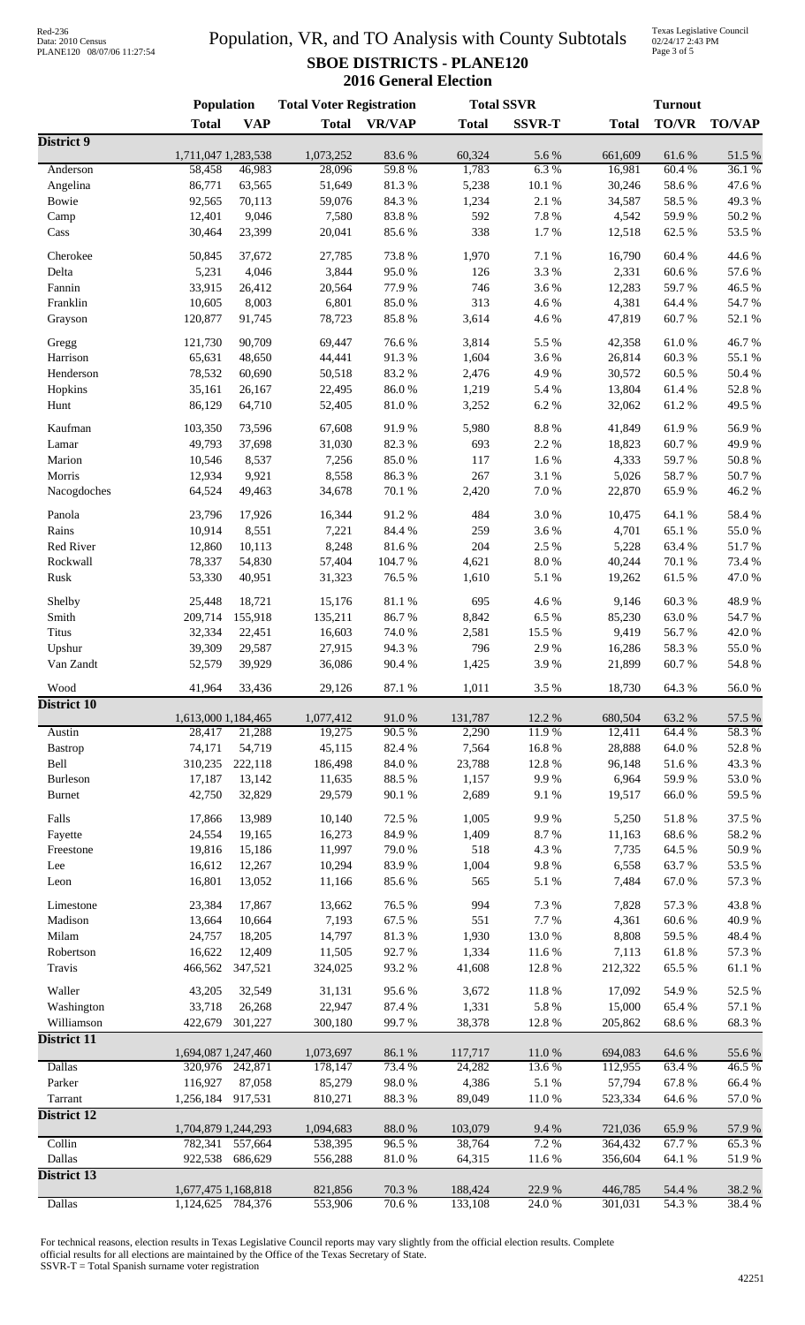# Data: 2010 Census PLANE120 08/07/06 11:27:54

### Population, VR, and TO Analysis with County Subtotals **SBOE DISTRICTS - PLANE120 2016 General Election**

Texas Legislative Council 02/24/17 2:43 PM Page 3 of 5

|                      | Population                     |                 | <b>Total Voter Registration</b> |                 | <b>Total SSVR</b> |               | <b>Turnout</b>     |                 |                |
|----------------------|--------------------------------|-----------------|---------------------------------|-----------------|-------------------|---------------|--------------------|-----------------|----------------|
|                      | <b>Total</b>                   | <b>VAP</b>      | <b>Total</b>                    | <b>VR/VAP</b>   | <b>Total</b>      | <b>SSVR-T</b> | <b>Total</b>       | <b>TO/VR</b>    | <b>TO/VAP</b>  |
| District 9           |                                |                 |                                 |                 |                   |               |                    |                 |                |
| Anderson             | 1,711,047 1,283,538<br>58,458  | 46,983          | 1,073,252<br>28,096             | 83.6%<br>59.8%  | 60,324<br>1,783   | 5.6%<br>6.3%  | 661,609<br>16,981  | 61.6%<br>60.4%  | 51.5%<br>36.1% |
| Angelina             | 86,771                         | 63,565          | 51,649                          | 81.3%           | 5,238             | 10.1%         | 30,246             | 58.6%           | 47.6%          |
| Bowie                | 92,565                         | 70,113          | 59,076                          | 84.3 %          | 1,234             | 2.1%          | 34,587             | 58.5 %          | 49.3%          |
| Camp                 | 12,401                         | 9,046           | 7,580                           | 83.8%           | 592               | 7.8 %         | 4,542              | 59.9%           | 50.2 %         |
| Cass                 | 30,464                         | 23,399          | 20,041                          | 85.6%           | 338               | 1.7%          | 12,518             | 62.5 %          | 53.5%          |
|                      |                                |                 |                                 |                 |                   |               |                    |                 |                |
| Cherokee<br>Delta    | 50,845<br>5,231                | 37,672<br>4,046 | 27,785<br>3,844                 | 73.8%<br>95.0%  | 1,970<br>126      | 7.1 %<br>3.3% | 16,790<br>2,331    | 60.4 %<br>60.6% | 44.6%<br>57.6% |
| Fannin               | 33,915                         | 26,412          | 20,564                          | 77.9%           | 746               | 3.6%          | 12,283             | 59.7%           | 46.5 %         |
| Franklin             | 10,605                         | 8,003           | 6,801                           | 85.0%           | 313               | 4.6%          | 4,381              | 64.4 %          | 54.7%          |
| Grayson              | 120,877                        | 91,745          | 78,723                          | 85.8%           | 3,614             | 4.6 %         | 47,819             | 60.7%           | 52.1 %         |
|                      |                                |                 |                                 |                 |                   |               |                    |                 |                |
| Gregg                | 121,730                        | 90,709          | 69,447                          | 76.6%           | 3,814             | 5.5 %         | 42,358             | $61.0\ \%$      | 46.7%          |
| Harrison             | 65,631                         | 48,650          | 44,441                          | 91.3%           | 1,604             | 3.6%          | 26,814             | 60.3%           | 55.1 %         |
| Henderson            | 78,532                         | 60,690          | 50,518                          | 83.2%           | 2,476             | 4.9%          | 30,572             | 60.5 %          | 50.4%          |
| Hopkins              | 35,161                         | 26,167          | 22,495                          | $86.0\;\%$      | 1,219             | 5.4 %         | 13,804             | 61.4%           | 52.8%          |
| Hunt                 | 86,129                         | 64,710          | 52,405                          | $81.0\ \%$      | 3,252             | 6.2%          | 32,062             | 61.2%           | 49.5 %         |
| Kaufman              | 103,350                        | 73,596          | 67,608                          | 91.9%           | 5,980             | $8.8\ \%$     | 41,849             | 61.9%           | 56.9%          |
| Lamar                | 49,793                         | 37,698          | 31,030                          | 82.3%           | 693               | 2.2 %         | 18,823             | 60.7%           | 49.9%          |
| Marion               | 10,546                         | 8,537           | 7,256                           | 85.0%           | 117               | 1.6%          | 4,333              | 59.7%           | 50.8%          |
| Morris               | 12,934                         | 9,921           | 8,558                           | 86.3%           | 267               | 3.1%          | 5,026              | 58.7%           | 50.7%          |
| Nacogdoches          | 64,524                         | 49,463          | 34,678                          | 70.1 %          | 2,420             | $7.0\ \%$     | 22,870             | 65.9%           | 46.2%          |
| Panola               | 23,796                         | 17,926          | 16,344                          | 91.2%           | 484               | 3.0%          | 10,475             | 64.1 %          | 58.4%          |
| Rains                | 10,914                         | 8,551           | 7,221                           | 84.4 %          | 259               | 3.6%          | 4,701              | 65.1%           | 55.0%          |
| Red River            | 12,860                         | 10,113          | 8,248                           | 81.6%           | 204               | 2.5 %         | 5,228              | 63.4%           | 51.7%          |
| Rockwall             | 78,337                         | 54,830          | 57,404                          | 104.7%          | 4,621             | 8.0%          | 40,244             | 70.1 %          | 73.4 %         |
| Rusk                 | 53,330                         | 40,951          | 31,323                          | 76.5 %          | 1,610             | 5.1 %         | 19,262             | 61.5 %          | 47.0%          |
|                      |                                |                 |                                 |                 |                   |               |                    |                 |                |
| Shelby               | 25,448                         | 18,721          | 15,176                          | 81.1%           | 695               | 4.6%          | 9,146              | 60.3%           | 48.9%          |
| Smith                | 209,714                        | 155,918         | 135,211                         | 86.7%           | 8,842             | 6.5%          | 85,230             | 63.0%           | 54.7%          |
| <b>Titus</b>         | 32,334                         | 22,451          | 16,603                          | 74.0 %          | 2,581             | 15.5 %        | 9,419              | 56.7%           | 42.0%          |
| Upshur               | 39,309                         | 29,587          | 27,915                          | 94.3%           | 796               | 2.9%          | 16,286             | 58.3%           | 55.0%          |
| Van Zandt            | 52,579                         | 39,929          | 36,086                          | 90.4%           | 1,425             | 3.9%          | 21,899             | 60.7%           | 54.8 %         |
| Wood                 | 41,964                         | 33,436          | 29,126                          | 87.1 %          | 1,011             | 3.5%          | 18,730             | 64.3%           | 56.0%          |
| <b>District 10</b>   | 1,613,000 1,184,465            |                 | 1,077,412                       | 91.0%           | 131,787           | 12.2 %        | 680,504            | 63.2%           | 57.5 %         |
| Austin               | 28,417                         | 21,288          | 19,275                          | 90.5 %          | 2,290             | 11.9%         | 12,411             | 64.4 %          | 58.3%          |
| Bastrop              | 74,171                         | 54,719          | 45,115                          | 82.4%           | 7,564             | 16.8%         | 28,888             | 64.0%           | 52.8 %         |
| Bell                 | 310,235                        | 222,118         | 186,498                         | 84.0%           | 23,788            | 12.8%         | 96,148             | 51.6%           | 43.3%          |
| Burleson             | 17,187                         | 13,142          | 11,635                          | 88.5%           | 1,157             | 9.9%          | 6,964              | 59.9%           | 53.0%          |
| <b>Burnet</b>        | 42,750                         | 32,829          | 29,579                          | 90.1 %          | 2,689             | 9.1%          | 19,517             | 66.0%           | 59.5 %         |
| Falls                |                                | 13,989          |                                 |                 |                   | 9.9%          |                    |                 | 37.5 %         |
|                      | 17,866<br>24,554               | 19,165          | 10,140<br>16,273                | 72.5 %<br>84.9% | 1,005<br>1,409    | 8.7%          | 5,250<br>11,163    | 51.8%<br>68.6%  | 58.2 %         |
| Fayette<br>Freestone | 19,816                         | 15,186          | 11,997                          | 79.0%           | 518               | 4.3 %         | 7,735              | 64.5 %          | 50.9%          |
| Lee                  | 16,612                         | 12,267          | 10,294                          | 83.9%           | 1,004             | 9.8%          | 6,558              | 63.7%           | 53.5%          |
| Leon                 | 16,801                         | 13,052          | 11,166                          | 85.6%           | 565               | 5.1 %         | 7,484              | $67.0\ \%$      | 57.3 %         |
|                      |                                |                 |                                 |                 |                   |               |                    |                 |                |
| Limestone            | 23,384                         | 17,867          | 13,662                          | 76.5 %          | 994               | 7.3 %         | 7,828              | 57.3 %          | 43.8%          |
| Madison              | 13,664                         | 10,664          | 7,193                           | 67.5 %          | 551               | 7.7%          | 4,361              | 60.6%           | 40.9%          |
| Milam                | 24,757                         | 18,205          | 14,797                          | 81.3%           | 1,930             | 13.0%         | 8,808              | 59.5 %          | 48.4%          |
| Robertson            | 16,622                         | 12,409          | 11,505                          | 92.7%           | 1,334             | 11.6%         | 7,113              | 61.8%           | 57.3 %         |
| Travis               | 466,562                        | 347,521         | 324,025                         | 93.2%           | 41,608            | 12.8%         | 212,322            | 65.5%           | 61.1%          |
| Waller               | 43,205                         | 32,549          | 31,131                          | 95.6%           | 3,672             | 11.8%         | 17,092             | 54.9%           | 52.5 %         |
| Washington           | 33,718                         | 26,268          | 22,947                          | 87.4 %          | 1,331             | 5.8 %         | 15,000             | 65.4%           | 57.1 %         |
| Williamson           | 422,679                        | 301,227         | 300,180                         | 99.7%           | 38,378            | 12.8%         | 205,862            | 68.6%           | 68.3%          |
| District 11          |                                |                 |                                 |                 |                   |               |                    |                 |                |
|                      | 1,694,087 1,247,460            |                 | 1,073,697                       | 86.1 %          | 117,717           | 11.0%         | 694,083            | 64.6 %          | 55.6%          |
| <b>Dallas</b>        | 320,976                        | 242,871         | 178,147                         | 73.4 %          | 24,282            | 13.6%         | 112,955            | 63.4 %          | 46.5 %         |
| Parker               | 116,927                        | 87,058          | 85,279                          | 98.0%           | 4,386             | 5.1 %         | 57,794             | 67.8%           | 66.4%          |
| Tarrant              | 1,256,184                      | 917,531         | 810,271                         | 88.3%           | 89,049            | 11.0%         | 523,334            | 64.6 %          | 57.0 %         |
| <b>District 12</b>   |                                |                 |                                 |                 |                   |               |                    |                 |                |
| Collin               | 1,704,879 1,244,293<br>782,341 | 557,664         | 1,094,683<br>538,395            | 88.0%<br>96.5%  | 103,079<br>38,764 | 9.4%<br>7.2 % | 721,036<br>364,432 | 65.9%<br>67.7%  | 57.9%<br>65.3% |
| Dallas               | 922,538                        | 686,629         | 556,288                         | $81.0\ \%$      | 64,315            | 11.6%         | 356,604            | 64.1 %          | 51.9%          |
| <b>District 13</b>   |                                |                 |                                 |                 |                   |               |                    |                 |                |
|                      | 1,677,475 1,168,818            |                 | 821,856                         | 70.3%           | 188,424           | 22.9 %        | 446,785            | 54.4 %          | 38.2%          |
| <b>Dallas</b>        | 1,124,625                      | 784,376         | 553,906                         | 70.6 %          | 133,108           | 24.0%         | 301,031            | 54.3%           | 38.4 %         |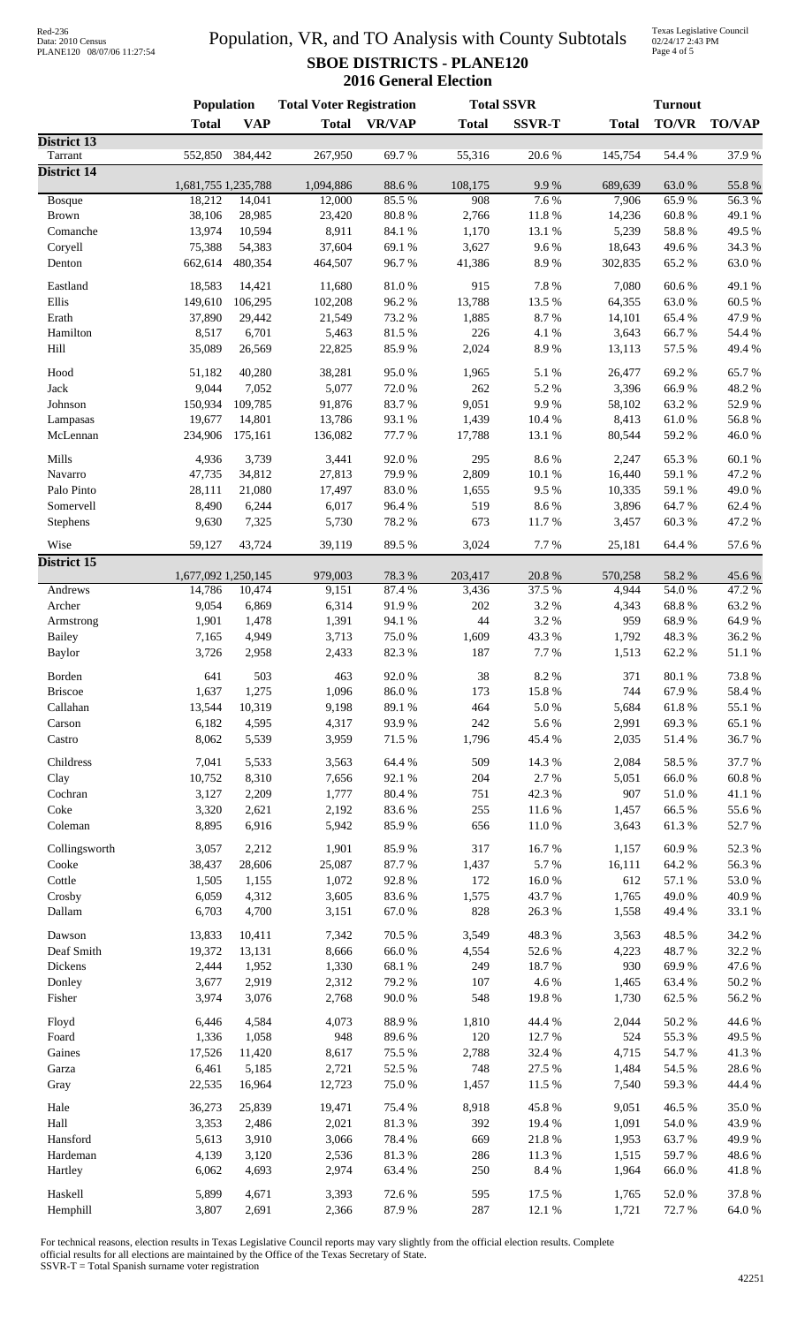| Red-236           |                            |
|-------------------|----------------------------|
| Data: 2010 Census |                            |
|                   | PLANE120 08/07/06 11:27:54 |

### Population, VR, and TO Analysis with County Subtotals **SBOE DISTRICTS - PLANE120 2016 General Election**

Texas Legislative Council 02/24/17 2:43 PM Page 4 of 5

|                               | Population          |                | <b>Total Voter Registration</b> |                  |              | <b>Total SSVR</b> | <b>Turnout</b> |                 |                     |
|-------------------------------|---------------------|----------------|---------------------------------|------------------|--------------|-------------------|----------------|-----------------|---------------------|
|                               | <b>Total</b>        | <b>VAP</b>     | <b>Total</b>                    | <b>VR/VAP</b>    | <b>Total</b> | <b>SSVR-T</b>     | <b>Total</b>   | TO/VR           | <b>TO/VAP</b>       |
| <b>District 13</b>            |                     |                |                                 |                  |              |                   |                |                 |                     |
| Tarrant<br><b>District 14</b> | 552,850             | 384,442        | 267,950                         | 69.7%            | 55,316       | 20.6%             | 145,754        | 54.4 %          | 37.9%               |
|                               | 1,681,755 1,235,788 |                | 1,094,886                       | 88.6%            | 108,175      | 9.9%              | 689,639        | 63.0%           | 55.8%               |
| <b>Bosque</b>                 | 18,212              | 14,041         | 12,000                          | 85.5%            | 908          | 7.6 %             | 7,906          | 65.9%           | 56.3%               |
| <b>Brown</b>                  | 38,106              | 28,985         | 23,420                          | $80.8~\%$        | 2,766        | 11.8%             | 14,236         | 60.8%           | 49.1 %              |
| Comanche                      | 13,974              | 10,594         | 8,911                           | 84.1 %           | 1,170        | 13.1 %            | 5,239          | 58.8%           | 49.5 %              |
| Coryell                       | 75,388              | 54,383         | 37,604                          | 69.1%            | 3,627        | 9.6%              | 18,643         | 49.6%           | 34.3 %              |
| Denton                        | 662,614             | 480,354        | 464,507                         | 96.7%            | 41,386       | 8.9%              | 302,835        | 65.2%           | 63.0%               |
| Eastland                      | 18,583              | 14,421         | 11,680                          | $81.0\ \%$       | 915          | 7.8%              | 7,080          | 60.6%           | 49.1 %              |
| Ellis                         | 149,610             | 106,295        | 102,208                         | 96.2%            | 13,788       | 13.5 %            | 64,355         | 63.0%           | 60.5 %              |
| Erath                         | 37,890              | 29,442         | 21,549                          | 73.2 %           | 1,885        | 8.7%              | 14,101         | 65.4 %          | 47.9%               |
| Hamilton                      | 8,517               | 6,701          | 5,463                           | 81.5%            | 226          | 4.1 %             | 3,643          | 66.7%           | 54.4 %              |
| Hill                          | 35,089              | 26,569         | 22,825                          | 85.9%            | 2,024        | 8.9%              | 13,113         | 57.5 %          | 49.4%               |
| Hood                          | 51,182              | 40,280         | 38,281                          | 95.0%            | 1,965        | 5.1 %             | 26,477         | 69.2%           | 65.7%               |
| Jack                          | 9,044               | 7,052          | 5,077                           | 72.0%            | 262          | 5.2 %             | 3,396          | 66.9%           | 48.2 %              |
| Johnson                       | 150,934             | 109,785        | 91,876                          | 83.7%            | 9,051        | 9.9%              | 58,102         | 63.2%           | 52.9%               |
| Lampasas                      | 19,677              | 14,801         | 13,786                          | 93.1 %           | 1,439        | 10.4 %            | 8,413          | 61.0%           | 56.8%               |
| McLennan                      | 234,906             | 175,161        | 136,082                         | 77.7 %           | 17,788       | 13.1 %            | 80,544         | 59.2%           | 46.0%               |
| Mills                         | 4,936               | 3,739          | 3,441                           | 92.0%            | 295          | 8.6%              | 2,247          | 65.3%           | 60.1%               |
| Navarro                       | 47,735              | 34,812         | 27,813                          | 79.9%            | 2,809        | 10.1 %            | 16,440         | 59.1 %          | 47.2 %              |
| Palo Pinto                    | 28,111              | 21,080         | 17,497                          | 83.0%            | 1,655        | 9.5%              | 10,335         | 59.1 %          | 49.0%               |
| Somervell                     | 8,490               | 6,244          | 6,017                           | 96.4%            | 519          | 8.6%              | 3,896          | 64.7%           | 62.4%               |
| Stephens                      | 9,630               | 7,325          | 5,730                           | 78.2%            | 673          | 11.7%             | 3,457          | 60.3%           | 47.2%               |
|                               |                     |                |                                 |                  |              |                   |                |                 |                     |
| Wise<br><b>District 15</b>    | 59,127              | 43,724         | 39,119                          | 89.5 %           | 3,024        | 7.7 %             | 25,181         | 64.4 %          | 57.6%               |
|                               | 1,677,092 1,250,145 |                | 979,003                         | 78.3 %           | 203,417      | 20.8%             | 570,258        | 58.2 %          | 45.6 %              |
| Andrews                       | 14,786              | 10,474         | 9,151                           | 87.4 %           | 3,436        | 37.5 %            | 4,944          | 54.0%           | 47.2 %              |
| Archer                        | 9,054               | 6,869          | 6,314                           | 91.9%            | 202          | 3.2%              | 4,343          | 68.8%           | 63.2%               |
| Armstrong                     | 1,901               | 1,478          | 1,391                           | 94.1 %           | 44           | 3.2%              | 959            | 68.9%           | 64.9%               |
| <b>Bailey</b>                 | 7,165               | 4,949          | 3,713                           | 75.0%            | 1,609        | 43.3%             | 1,792          | 48.3%           | 36.2%               |
| <b>Baylor</b>                 | 3,726               | 2,958          | 2,433                           | 82.3%            | 187          | 7.7%              | 1,513          | 62.2%           | 51.1%               |
| Borden                        | 641                 | 503            | 463                             | 92.0%            | $38\,$       | 8.2%              | 371            | 80.1%           | 73.8%               |
| <b>Briscoe</b>                | 1,637               | 1,275          | 1,096                           | $86.0\;\%$       | 173          | 15.8%             | 744            | 67.9%           | 58.4%               |
| Callahan                      | 13,544              | 10,319         | 9,198                           | 89.1 %           | 464          | 5.0%              | 5,684          | 61.8%           | 55.1 %              |
| Carson                        | 6,182               | 4,595          | 4,317                           | 93.9%            | 242          | 5.6%              | 2,991          | 69.3%           | 65.1 %              |
| Castro                        | 8,062               | 5,539          | 3,959                           | 71.5 %           | 1,796        | 45.4 %            | 2,035          | 51.4%           | 36.7%               |
| Childress                     |                     |                |                                 |                  |              |                   |                |                 | 37.7 %              |
| Clay                          | 7,041<br>10,752     | 5,533<br>8,310 | 3,563<br>7,656                  | 64.4 %<br>92.1 % | 509<br>204   | 14.3 %<br>2.7%    | 2,084<br>5,051 | 58.5 %<br>66.0% | 60.8%               |
| Cochran                       | 3,127               | 2,209          | 1,777                           | 80.4 %           | 751          | 42.3%             | 907            | 51.0%           | 41.1%               |
| Coke                          | 3,320               | 2,621          | 2,192                           | 83.6%            | 255          | 11.6 %            | 1,457          | 66.5%           | 55.6%               |
| Coleman                       | 8,895               | 6,916          | 5,942                           | 85.9%            | 656          | 11.0%             | 3,643          | 61.3%           | 52.7%               |
|                               |                     |                |                                 |                  |              |                   |                |                 |                     |
| Collingsworth                 | 3,057               | 2,212          | 1,901                           | 85.9%            | 317          | 16.7%             | 1,157          | 60.9%           | 52.3 %              |
| Cooke                         | 38,437              | 28,606         | 25,087                          | 87.7%            | 1,437        | 5.7%              | 16,111         | 64.2 %          | 56.3%               |
| Cottle                        | 1,505               | 1,155          | 1,072                           | 92.8%            | 172          | 16.0%<br>43.7%    | 612<br>1,765   | 57.1 %<br>49.0% | 53.0%<br>40.9%      |
| Crosby<br>Dallam              | 6,059<br>6,703      | 4,312<br>4,700 | 3,605<br>3,151                  | 83.6%<br>67.0%   | 1,575<br>828 | 26.3%             | 1,558          | 49.4 %          | 33.1 %              |
|                               |                     |                |                                 |                  |              |                   |                |                 |                     |
| Dawson                        | 13,833              | 10,411         | 7,342                           | 70.5 %           | 3,549        | 48.3%             | 3,563          | 48.5 %          | 34.2 %              |
| Deaf Smith                    | 19,372              | 13,131         | 8,666                           | $66.0\ \%$       | 4,554        | 52.6 %            | 4,223          | 48.7%           | 32.2 %              |
| Dickens                       | 2,444               | 1,952          | 1,330                           | 68.1 %           | 249          | 18.7%             | 930            | 69.9%           | 47.6%               |
| Donley                        | 3,677               | 2,919          | 2,312                           | 79.2%            | 107          | 4.6%              | 1,465          | 63.4 %          | 50.2%               |
| Fisher                        | 3,974               | 3,076          | 2,768                           | $90.0\;\%$       | 548          | 19.8%             | 1,730          | 62.5 %          | 56.2%               |
| Floyd                         | 6,446               | 4,584          | 4,073                           | 88.9%            | 1,810        | 44.4 %            | 2,044          | 50.2 %          | 44.6 %              |
| Foard                         | 1,336               | 1,058          | 948                             | 89.6%            | 120          | 12.7%             | 524            | 55.3%           | 49.5 %              |
| Gaines                        | 17,526              | 11,420         | 8,617                           | 75.5 %           | 2,788        | 32.4 %            | 4,715          | 54.7%           | 41.3%               |
| Garza                         | 6,461               | 5,185          | 2,721                           | 52.5 %           | 748          | 27.5 %            | 1,484          | 54.5 %          | 28.6%               |
| Gray                          | 22,535              | 16,964         | 12,723                          | 75.0%            | 1,457        | 11.5 %            | 7,540          | 59.3%           | 44.4 %              |
| Hale                          | 36,273              | 25,839         | 19,471                          | 75.4 %           | 8,918        | 45.8%             | 9,051          | 46.5 %          | 35.0%               |
| Hall                          | 3,353               | 2,486          | 2,021                           | 81.3 %           | 392          | 19.4 %            | 1,091          | 54.0 %          | 43.9%               |
| Hansford                      | 5,613               | 3,910          | 3,066                           | 78.4%            | 669          | 21.8%             | 1,953          | 63.7%           | 49.9%               |
| Hardeman                      | 4,139               | 3,120          | 2,536                           | 81.3%            | 286          | 11.3%             | 1,515          | 59.7%           | 48.6%               |
| Hartley                       | 6,062               | 4,693          | 2,974                           | 63.4%            | 250          | 8.4 %             | 1,964          | 66.0%           | 41.8%               |
|                               |                     |                |                                 |                  |              |                   |                |                 |                     |
| Haskell<br>Hemphill           | 5,899<br>3,807      | 4,671<br>2,691 | 3,393<br>2,366                  | 72.6%<br>87.9%   | 595<br>287   | 17.5 %<br>12.1 %  | 1,765<br>1,721 | 52.0%<br>72.7%  | 37.8%<br>$64.0\ \%$ |
|                               |                     |                |                                 |                  |              |                   |                |                 |                     |